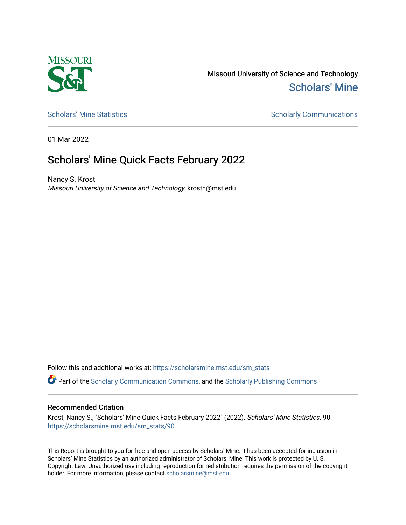

Missouri University of Science and Technology [Scholars' Mine](https://scholarsmine.mst.edu/) 

[Scholars' Mine Statistics](https://scholarsmine.mst.edu/sm_stats) Scholarly Communications

01 Mar 2022

## Scholars' Mine Quick Facts February 2022

Nancy S. Krost Missouri University of Science and Technology, krostn@mst.edu

Follow this and additional works at: [https://scholarsmine.mst.edu/sm\\_stats](https://scholarsmine.mst.edu/sm_stats?utm_source=scholarsmine.mst.edu%2Fsm_stats%2F90&utm_medium=PDF&utm_campaign=PDFCoverPages) 

Part of the [Scholarly Communication Commons,](http://network.bepress.com/hgg/discipline/1272?utm_source=scholarsmine.mst.edu%2Fsm_stats%2F90&utm_medium=PDF&utm_campaign=PDFCoverPages) and the [Scholarly Publishing Commons](http://network.bepress.com/hgg/discipline/1273?utm_source=scholarsmine.mst.edu%2Fsm_stats%2F90&utm_medium=PDF&utm_campaign=PDFCoverPages)

## Recommended Citation

Krost, Nancy S., "Scholars' Mine Quick Facts February 2022" (2022). Scholars' Mine Statistics. 90. [https://scholarsmine.mst.edu/sm\\_stats/90](https://scholarsmine.mst.edu/sm_stats/90?utm_source=scholarsmine.mst.edu%2Fsm_stats%2F90&utm_medium=PDF&utm_campaign=PDFCoverPages)

This Report is brought to you for free and open access by Scholars' Mine. It has been accepted for inclusion in Scholars' Mine Statistics by an authorized administrator of Scholars' Mine. This work is protected by U. S. Copyright Law. Unauthorized use including reproduction for redistribution requires the permission of the copyright holder. For more information, please contact [scholarsmine@mst.edu.](mailto:scholarsmine@mst.edu)